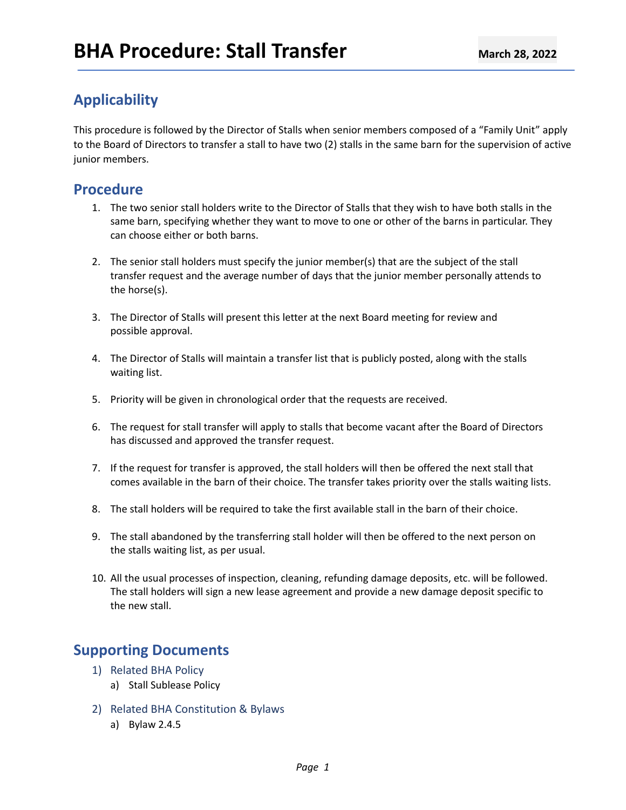# **Applicability**

This procedure is followed by the Director of Stalls when senior members composed of a "Family Unit" apply to the Board of Directors to transfer a stall to have two (2) stalls in the same barn for the supervision of active junior members.

## **Procedure**

- 1. The two senior stall holders write to the Director of Stalls that they wish to have both stalls in the same barn, specifying whether they want to move to one or other of the barns in particular. They can choose either or both barns.
- 2. The senior stall holders must specify the junior member(s) that are the subject of the stall transfer request and the average number of days that the junior member personally attends to the horse(s).
- 3. The Director of Stalls will present this letter at the next Board meeting for review and possible approval.
- 4. The Director of Stalls will maintain a transfer list that is publicly posted, along with the stalls waiting list.
- 5. Priority will be given in chronological order that the requests are received.
- 6. The request for stall transfer will apply to stalls that become vacant after the Board of Directors has discussed and approved the transfer request.
- 7. If the request for transfer is approved, the stall holders will then be offered the next stall that comes available in the barn of their choice. The transfer takes priority over the stalls waiting lists.
- 8. The stall holders will be required to take the first available stall in the barn of their choice.
- 9. The stall abandoned by the transferring stall holder will then be offered to the next person on the stalls waiting list, as per usual.
- 10. All the usual processes of inspection, cleaning, refunding damage deposits, etc. will be followed. The stall holders will sign a new lease agreement and provide a new damage deposit specific to the new stall.

## **Supporting Documents**

- 1) Related BHA Policy
	- a) Stall Sublease Policy
- 2) Related BHA Constitution & Bylaws
	- a) Bylaw 2.4.5